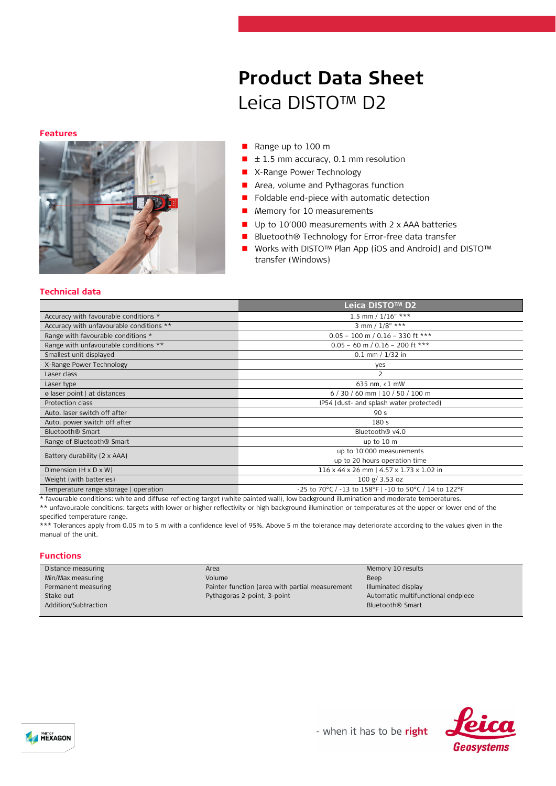#### **Features**



# **Product Data Sheet** Leica DISTO™ D2

- Range up to 100 m
- $\blacksquare$   $\pm$  1.5 mm accuracy, 0.1 mm resolution
- **X-Range Power Technology**
- **Area, volume and Pythagoras function**
- Foldable end-piece with automatic detection
- Memory for 10 measurements
- Up to 10'000 measurements with 2 x AAA batteries
- Bluetooth® Technology for Error-free data transfer
- Works with DISTO™ Plan App (iOS and Android) and DISTO™ transfer (Windows)

#### **Technical data**

|                                          | Leica DISTO™ D2                                        |  |
|------------------------------------------|--------------------------------------------------------|--|
| Accuracy with favourable conditions *    | 1.5 mm / $1/16"$ ***                                   |  |
| Accuracy with unfavourable conditions ** | 3 mm / $1/8"$ ***                                      |  |
| Range with favourable conditions *       | $0.05 - 100$ m / $0.16 - 330$ ft ***                   |  |
| Range with unfavourable conditions **    | $0.05 - 60$ m / $0.16 - 200$ ft ***                    |  |
| Smallest unit displayed                  | $0.1$ mm $/ 1/32$ in                                   |  |
| X-Range Power Technology                 | yes                                                    |  |
| Laser class                              | 2                                                      |  |
| Laser type                               | 635 nm, $\langle 1$ mW                                 |  |
| ø laser point   at distances             | $6/30/60$ mm   10 / 50 / 100 m                         |  |
| Protection class                         | IP54 (dust- and splash water protected)                |  |
| Auto, laser switch off after             | 90 <sub>s</sub>                                        |  |
| Auto. power switch off after             | 180 <sub>5</sub>                                       |  |
| Bluetooth <sup>®</sup> Smart             | Bluetooth <sup>®</sup> v4.0                            |  |
| Range of Bluetooth <sup>®</sup> Smart    | up to 10 m                                             |  |
| Battery durability (2 x AAA)             | up to 10'000 measurements                              |  |
|                                          | up to 20 hours operation time                          |  |
| Dimension $(H \times D \times W)$        | 116 x 44 x 26 mm   4.57 x 1.73 x 1.02 in               |  |
| Weight (with batteries)                  | 100 g/ 3.53 oz                                         |  |
| Temperature range storage   operation    | -25 to 70°C / -13 to 158°F   -10 to 50°C / 14 to 122°F |  |

\* favourable conditions: white and diffuse reflecting target (white painted wall), low background illumination and moderate temperatures.

\*\* unfavourable conditions: targets with lower or higher reflectivity or high background illumination or temperatures at the upper or lower end of the specified temperature range.

\*\*\* Tolerances apply from 0.05 m to 5 m with a confidence level of 95%. Above 5 m the tolerance may deteriorate according to the values given in the manual of the unit.

### **Functions**

| Distance measuring   | Area                                            | Memory 10 results                  |
|----------------------|-------------------------------------------------|------------------------------------|
| Min/Max measuring    | Volume                                          | Beep                               |
| Permanent measuring  | Painter function (area with partial measurement | Illuminated display                |
| Stake out            | Pythagoras 2-point, 3-point                     | Automatic multifunctional endpiece |
| Addition/Subtraction |                                                 | Bluetooth <sup>®</sup> Smart       |